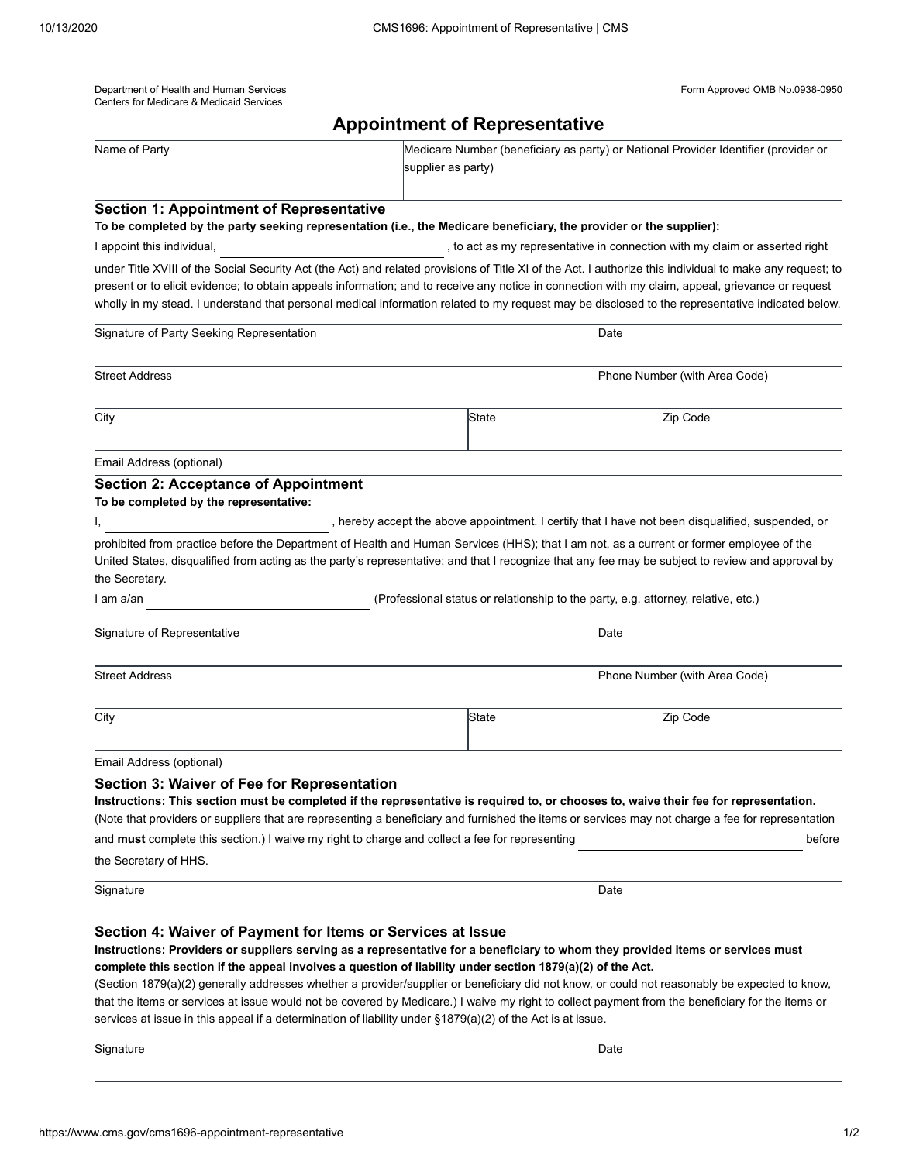| Department of Health and Human Services  |
|------------------------------------------|
| Centers for Medicare & Medicaid Services |

Form Approved OMB No.0938-0950

|                                                                                                                                                                                                                                                                                                                                                                                                                                                                                                                                                                                                                                                                                                                                | <b>Appointment of Representative</b> |                                                                                                           |                                                                                   |                                                                                                   |  |
|--------------------------------------------------------------------------------------------------------------------------------------------------------------------------------------------------------------------------------------------------------------------------------------------------------------------------------------------------------------------------------------------------------------------------------------------------------------------------------------------------------------------------------------------------------------------------------------------------------------------------------------------------------------------------------------------------------------------------------|--------------------------------------|-----------------------------------------------------------------------------------------------------------|-----------------------------------------------------------------------------------|---------------------------------------------------------------------------------------------------|--|
| Name of Party                                                                                                                                                                                                                                                                                                                                                                                                                                                                                                                                                                                                                                                                                                                  |                                      | Medicare Number (beneficiary as party) or National Provider Identifier (provider or<br>supplier as party) |                                                                                   |                                                                                                   |  |
| <b>Section 1: Appointment of Representative</b>                                                                                                                                                                                                                                                                                                                                                                                                                                                                                                                                                                                                                                                                                |                                      |                                                                                                           |                                                                                   |                                                                                                   |  |
| To be completed by the party seeking representation (i.e., the Medicare beneficiary, the provider or the supplier):                                                                                                                                                                                                                                                                                                                                                                                                                                                                                                                                                                                                            |                                      |                                                                                                           |                                                                                   |                                                                                                   |  |
| I appoint this individual,                                                                                                                                                                                                                                                                                                                                                                                                                                                                                                                                                                                                                                                                                                     |                                      |                                                                                                           |                                                                                   | , to act as my representative in connection with my claim or asserted right                       |  |
| under Title XVIII of the Social Security Act (the Act) and related provisions of Title XI of the Act. I authorize this individual to make any request; to<br>present or to elicit evidence; to obtain appeals information; and to receive any notice in connection with my claim, appeal, grievance or request<br>wholly in my stead. I understand that personal medical information related to my request may be disclosed to the representative indicated below.                                                                                                                                                                                                                                                             |                                      |                                                                                                           |                                                                                   |                                                                                                   |  |
| Signature of Party Seeking Representation                                                                                                                                                                                                                                                                                                                                                                                                                                                                                                                                                                                                                                                                                      |                                      |                                                                                                           | Date                                                                              |                                                                                                   |  |
| <b>Street Address</b>                                                                                                                                                                                                                                                                                                                                                                                                                                                                                                                                                                                                                                                                                                          |                                      |                                                                                                           |                                                                                   | Phone Number (with Area Code)                                                                     |  |
| City                                                                                                                                                                                                                                                                                                                                                                                                                                                                                                                                                                                                                                                                                                                           |                                      | State                                                                                                     |                                                                                   | Zip Code                                                                                          |  |
| Email Address (optional)                                                                                                                                                                                                                                                                                                                                                                                                                                                                                                                                                                                                                                                                                                       |                                      |                                                                                                           |                                                                                   |                                                                                                   |  |
| <b>Section 2: Acceptance of Appointment</b><br>To be completed by the representative:                                                                                                                                                                                                                                                                                                                                                                                                                                                                                                                                                                                                                                          |                                      |                                                                                                           |                                                                                   | , hereby accept the above appointment. I certify that I have not been disqualified, suspended, or |  |
| prohibited from practice before the Department of Health and Human Services (HHS); that I am not, as a current or former employee of the<br>United States, disqualified from acting as the party's representative; and that I recognize that any fee may be subject to review and approval by<br>the Secretary.                                                                                                                                                                                                                                                                                                                                                                                                                |                                      |                                                                                                           |                                                                                   |                                                                                                   |  |
| I am a/an                                                                                                                                                                                                                                                                                                                                                                                                                                                                                                                                                                                                                                                                                                                      |                                      |                                                                                                           | (Professional status or relationship to the party, e.g. attorney, relative, etc.) |                                                                                                   |  |
| Signature of Representative                                                                                                                                                                                                                                                                                                                                                                                                                                                                                                                                                                                                                                                                                                    |                                      |                                                                                                           | Date                                                                              |                                                                                                   |  |
| <b>Street Address</b>                                                                                                                                                                                                                                                                                                                                                                                                                                                                                                                                                                                                                                                                                                          |                                      |                                                                                                           |                                                                                   | Phone Number (with Area Code)                                                                     |  |
| City                                                                                                                                                                                                                                                                                                                                                                                                                                                                                                                                                                                                                                                                                                                           |                                      | State                                                                                                     |                                                                                   | Zip Code                                                                                          |  |
| Email Address (optional)                                                                                                                                                                                                                                                                                                                                                                                                                                                                                                                                                                                                                                                                                                       |                                      |                                                                                                           |                                                                                   |                                                                                                   |  |
| <b>Section 3: Waiver of Fee for Representation</b><br>Instructions: This section must be completed if the representative is required to, or chooses to, waive their fee for representation.<br>(Note that providers or suppliers that are representing a beneficiary and furnished the items or services may not charge a fee for representation<br>and must complete this section.) I waive my right to charge and collect a fee for representing<br>the Secretary of HHS.                                                                                                                                                                                                                                                    |                                      |                                                                                                           |                                                                                   | before                                                                                            |  |
| Signature                                                                                                                                                                                                                                                                                                                                                                                                                                                                                                                                                                                                                                                                                                                      |                                      |                                                                                                           | Date                                                                              |                                                                                                   |  |
| Section 4: Waiver of Payment for Items or Services at Issue<br>Instructions: Providers or suppliers serving as a representative for a beneficiary to whom they provided items or services must<br>complete this section if the appeal involves a question of liability under section 1879(a)(2) of the Act.<br>(Section 1879(a)(2) generally addresses whether a provider/supplier or beneficiary did not know, or could not reasonably be expected to know,<br>that the items or services at issue would not be covered by Medicare.) I waive my right to collect payment from the beneficiary for the items or<br>services at issue in this appeal if a determination of liability under §1879(a)(2) of the Act is at issue. |                                      |                                                                                                           |                                                                                   |                                                                                                   |  |
| Signature                                                                                                                                                                                                                                                                                                                                                                                                                                                                                                                                                                                                                                                                                                                      |                                      |                                                                                                           | Date                                                                              |                                                                                                   |  |